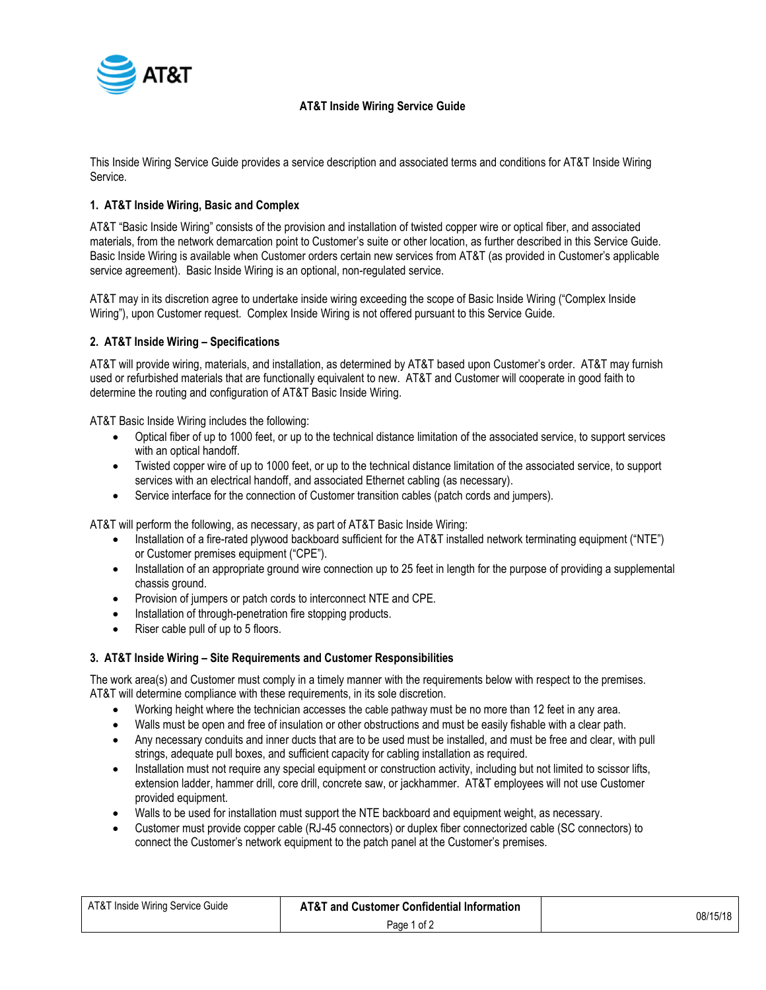

## **AT&T Inside Wiring Service Guide**

This Inside Wiring Service Guide provides a service description and associated terms and conditions for AT&T Inside Wiring Service.

## **1. AT&T Inside Wiring, Basic and Complex**

AT&T "Basic Inside Wiring" consists of the provision and installation of twisted copper wire or optical fiber, and associated materials, from the network demarcation point to Customer's suite or other location, as further described in this Service Guide. Basic Inside Wiring is available when Customer orders certain new services from AT&T (as provided in Customer's applicable service agreement). Basic Inside Wiring is an optional, non-regulated service.

AT&T may in its discretion agree to undertake inside wiring exceeding the scope of Basic Inside Wiring ("Complex Inside Wiring"), upon Customer request. Complex Inside Wiring is not offered pursuant to this Service Guide.

### **2. AT&T Inside Wiring – Specifications**

AT&T will provide wiring, materials, and installation, as determined by AT&T based upon Customer's order. AT&T may furnish used or refurbished materials that are functionally equivalent to new. AT&T and Customer will cooperate in good faith to determine the routing and configuration of AT&T Basic Inside Wiring.

AT&T Basic Inside Wiring includes the following:

- Optical fiber of up to 1000 feet, or up to the technical distance limitation of the associated service, to support services with an optical handoff.
- Twisted copper wire of up to 1000 feet, or up to the technical distance limitation of the associated service, to support services with an electrical handoff, and associated Ethernet cabling (as necessary).
- Service interface for the connection of Customer transition cables (patch cords and jumpers).

AT&T will perform the following, as necessary, as part of AT&T Basic Inside Wiring:

- Installation of a fire-rated plywood backboard sufficient for the AT&T installed network terminating equipment ("NTE") or Customer premises equipment ("CPE").
- Installation of an appropriate ground wire connection up to 25 feet in length for the purpose of providing a supplemental chassis ground.
- Provision of jumpers or patch cords to interconnect NTE and CPE.
- Installation of through-penetration fire stopping products.
- Riser cable pull of up to 5 floors.

### **3. AT&T Inside Wiring – Site Requirements and Customer Responsibilities**

The work area(s) and Customer must comply in a timely manner with the requirements below with respect to the premises. AT&T will determine compliance with these requirements, in its sole discretion.

- Working height where the technician accesses the cable pathway must be no more than 12 feet in any area.
- Walls must be open and free of insulation or other obstructions and must be easily fishable with a clear path.
- Any necessary conduits and inner ducts that are to be used must be installed, and must be free and clear, with pull strings, adequate pull boxes, and sufficient capacity for cabling installation as required.
- Installation must not require any special equipment or construction activity, including but not limited to scissor lifts, extension ladder, hammer drill, core drill, concrete saw, or jackhammer. AT&T employees will not use Customer provided equipment.
- Walls to be used for installation must support the NTE backboard and equipment weight, as necessary.
- Customer must provide copper cable (RJ-45 connectors) or duplex fiber connectorized cable (SC connectors) to connect the Customer's network equipment to the patch panel at the Customer's premises.

| AT&T Inside Wiring Service Guide | <b>AT&amp;T and Customer Confidential Information</b> | 08/15/18 |
|----------------------------------|-------------------------------------------------------|----------|
|                                  | Page 1 of 2                                           |          |